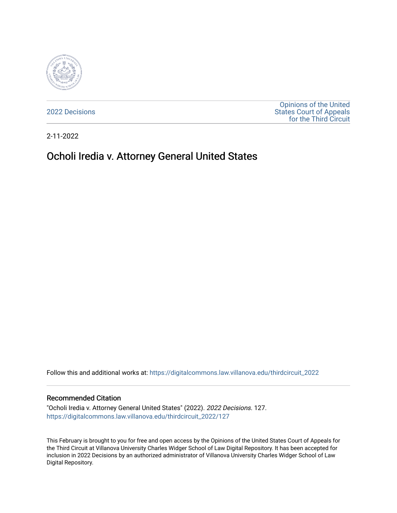

[2022 Decisions](https://digitalcommons.law.villanova.edu/thirdcircuit_2022)

[Opinions of the United](https://digitalcommons.law.villanova.edu/thirdcircuit)  [States Court of Appeals](https://digitalcommons.law.villanova.edu/thirdcircuit)  [for the Third Circuit](https://digitalcommons.law.villanova.edu/thirdcircuit) 

2-11-2022

# Ocholi Iredia v. Attorney General United States

Follow this and additional works at: [https://digitalcommons.law.villanova.edu/thirdcircuit\\_2022](https://digitalcommons.law.villanova.edu/thirdcircuit_2022?utm_source=digitalcommons.law.villanova.edu%2Fthirdcircuit_2022%2F127&utm_medium=PDF&utm_campaign=PDFCoverPages) 

#### Recommended Citation

"Ocholi Iredia v. Attorney General United States" (2022). 2022 Decisions. 127. [https://digitalcommons.law.villanova.edu/thirdcircuit\\_2022/127](https://digitalcommons.law.villanova.edu/thirdcircuit_2022/127?utm_source=digitalcommons.law.villanova.edu%2Fthirdcircuit_2022%2F127&utm_medium=PDF&utm_campaign=PDFCoverPages)

This February is brought to you for free and open access by the Opinions of the United States Court of Appeals for the Third Circuit at Villanova University Charles Widger School of Law Digital Repository. It has been accepted for inclusion in 2022 Decisions by an authorized administrator of Villanova University Charles Widger School of Law Digital Repository.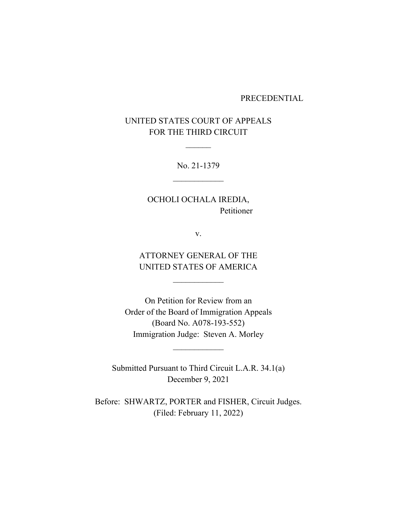### PRECEDENTIAL

## UNITED STATES COURT OF APPEALS FOR THE THIRD CIRCUIT

 $\overline{\phantom{a}}$ 

No. 21-1379  $\overline{\phantom{a}}$ 

OCHOLI OCHALA IREDIA, Petitioner

v.

ATTORNEY GENERAL OF THE UNITED STATES OF AMERICA

 $\frac{1}{2}$ 

On Petition for Review from an Order of the Board of Immigration Appeals (Board No. A078-193-552) Immigration Judge: Steven A. Morley

Submitted Pursuant to Third Circuit L.A.R. 34.1(a) December 9, 2021

 $\overline{\phantom{a}}$ 

Before: SHWARTZ, PORTER and FISHER, Circuit Judges. (Filed: February 11, 2022)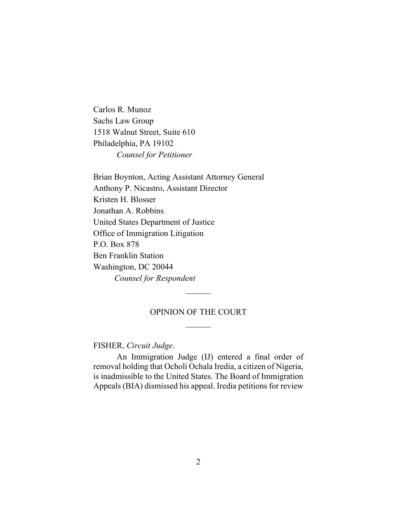Carlos R. Munoz Sachs Law Group 1518 Walnut Street, Suite 610 Philadelphia, PA 19102 *Counsel for Petitioner*

Brian Boynton, Acting Assistant Attorney General Anthony P. Nicastro, Assistant Director Kristen H. Blosser Jonathan A. Robbins United States Department of Justice Office of Immigration Litigation P.O. Box 878 Ben Franklin Station Washington, DC 20044 *Counsel for Respondent* 

## OPINION OF THE COURT  $\frac{1}{2}$

 $\frac{1}{2}$ 

### FISHER, *Circuit Judge*.

An Immigration Judge (IJ) entered a final order of removal holding that Ocholi Ochala Iredia, a citizen of Nigeria, is inadmissible to the United States. The Board of Immigration Appeals (BIA) dismissed his appeal. Iredia petitions for review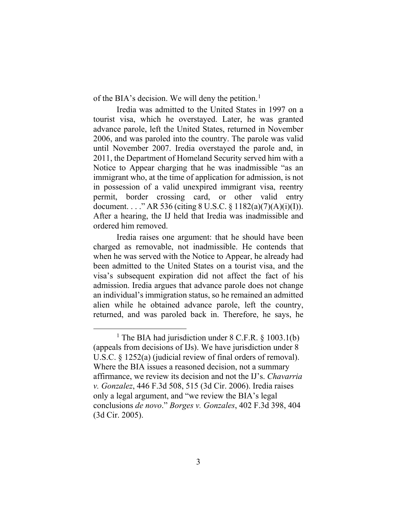of the BIA's decision. We will deny the petition.<sup>1</sup>

Iredia was admitted to the United States in 1997 on a tourist visa, which he overstayed. Later, he was granted advance parole, left the United States, returned in November 2006, and was paroled into the country. The parole was valid until November 2007. Iredia overstayed the parole and, in 2011, the Department of Homeland Security served him with a Notice to Appear charging that he was inadmissible "as an immigrant who, at the time of application for admission, is not in possession of a valid unexpired immigrant visa, reentry permit, border crossing card, or other valid entry document. . . ." AR 536 (citing 8 U.S.C. § 1182(a)(7)(A)(i)(I)). After a hearing, the IJ held that Iredia was inadmissible and ordered him removed.

Iredia raises one argument: that he should have been charged as removable, not inadmissible. He contends that when he was served with the Notice to Appear, he already had been admitted to the United States on a tourist visa, and the visa's subsequent expiration did not affect the fact of his admission. Iredia argues that advance parole does not change an individual's immigration status, so he remained an admitted alien while he obtained advance parole, left the country, returned, and was paroled back in. Therefore, he says, he

<sup>&</sup>lt;sup>1</sup> The BIA had jurisdiction under  $8$  C.F.R.  $\S$  1003.1(b) (appeals from decisions of IJs). We have jurisdiction under 8 U.S.C. § 1252(a) (judicial review of final orders of removal). Where the BIA issues a reasoned decision, not a summary affirmance, we review its decision and not the IJ's. *Chavarria v. Gonzalez*, 446 F.3d 508, 515 (3d Cir. 2006). Iredia raises only a legal argument, and "we review the BIA's legal conclusions *de novo*." *Borges v. Gonzales*, 402 F.3d 398, 404 (3d Cir. 2005).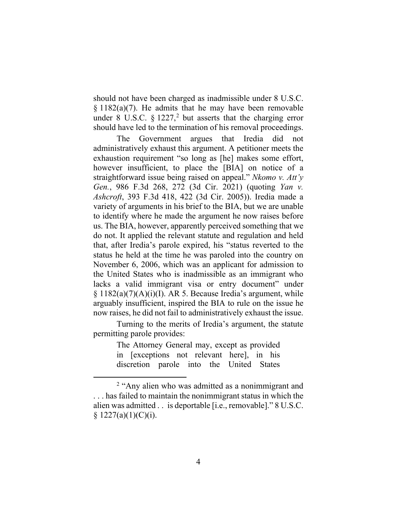should not have been charged as inadmissible under 8 U.S.C. § 1182(a)(7). He admits that he may have been removable under 8 U.S.C.  $\S 1227$ , but asserts that the charging error should have led to the termination of his removal proceedings.

The Government argues that Iredia did not administratively exhaust this argument. A petitioner meets the exhaustion requirement "so long as [he] makes some effort, however insufficient, to place the [BIA] on notice of a straightforward issue being raised on appeal." *Nkomo v. Att'y Gen.*, 986 F.3d 268, 272 (3d Cir. 2021) (quoting *Yan v. Ashcroft*, 393 F.3d 418, 422 (3d Cir. 2005)). Iredia made a variety of arguments in his brief to the BIA, but we are unable to identify where he made the argument he now raises before us. The BIA, however, apparently perceived something that we do not. It applied the relevant statute and regulation and held that, after Iredia's parole expired, his "status reverted to the status he held at the time he was paroled into the country on November 6, 2006, which was an applicant for admission to the United States who is inadmissible as an immigrant who lacks a valid immigrant visa or entry document" under  $§ 1182(a)(7)(A)(i)(I)$ . AR 5. Because Iredia's argument, while arguably insufficient, inspired the BIA to rule on the issue he now raises, he did not fail to administratively exhaust the issue.

Turning to the merits of Iredia's argument, the statute permitting parole provides:

> The Attorney General may, except as provided in [exceptions not relevant here], in his discretion parole into the United States

<sup>&</sup>lt;sup>2</sup> "Any alien who was admitted as a nonimmigrant and . . . has failed to maintain the nonimmigrant status in which the alien was admitted . . is deportable [i.e., removable]." 8 U.S.C. §  $1227(a)(1)(C)(i)$ .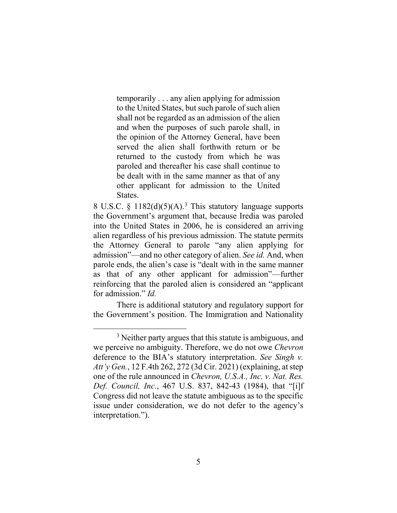temporarily . . . any alien applying for admission to the United States, but such parole of such alien shall not be regarded as an admission of the alien and when the purposes of such parole shall, in the opinion of the Attorney General, have been served the alien shall forthwith return or be returned to the custody from which he was paroled and thereafter his case shall continue to be dealt with in the same manner as that of any other applicant for admission to the United States.

8 U.S.C. § 1182(d)(5)(A).<sup>3</sup> This statutory language supports the Government's argument that, because Iredia was paroled into the United States in 2006, he is considered an arriving alien regardless of his previous admission. The statute permits the Attorney General to parole "any alien applying for admission"—and no other category of alien. *See id.* And, when parole ends, the alien's case is "dealt with in the same manner as that of any other applicant for admission"—further reinforcing that the paroled alien is considered an "applicant for admission." *Id.*

There is additional statutory and regulatory support for the Government's position. The Immigration and Nationality

<sup>&</sup>lt;sup>3</sup> Neither party argues that this statute is ambiguous, and we perceive no ambiguity. Therefore, we do not owe *Chevron* deference to the BIA's statutory interpretation. *See Singh v. Att'y Gen.*, 12 F.4th 262, 272 (3d Cir. 2021) (explaining, at step one of the rule announced in *Chevron, U.S.A., Inc. v. Nat. Res. Def. Council, Inc.*, 467 U.S. 837, 842-43 (1984), that "[i]f Congress did not leave the statute ambiguous as to the specific issue under consideration, we do not defer to the agency's interpretation.").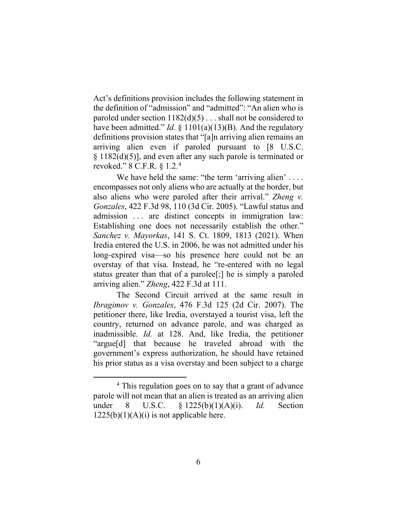Act's definitions provision includes the following statement in the definition of "admission" and "admitted": "An alien who is paroled under section  $1182(d)(5)$ ... shall not be considered to have been admitted." *Id.* § 1101(a)(13)(B). And the regulatory definitions provision states that "[a]n arriving alien remains an arriving alien even if paroled pursuant to [8 U.S.C. § 1182(d)(5)], and even after any such parole is terminated or revoked." 8 C.F.R. § 1.2.4

We have held the same: "the term 'arriving alien' .... encompasses not only aliens who are actually at the border, but also aliens who were paroled after their arrival." *Zheng v. Gonzales*, 422 F.3d 98, 110 (3d Cir. 2005). "Lawful status and admission . . . are distinct concepts in immigration law: Establishing one does not necessarily establish the other." *Sanchez v. Mayorkas*, 141 S. Ct. 1809, 1813 (2021). When Iredia entered the U.S. in 2006, he was not admitted under his long-expired visa—so his presence here could not be an overstay of that visa. Instead, he "re-entered with no legal status greater than that of a parolee[;] he is simply a paroled arriving alien." *Zheng*, 422 F.3d at 111.

The Second Circuit arrived at the same result in *Ibragimov v. Gonzales*, 476 F.3d 125 (2d Cir. 2007). The petitioner there, like Iredia, overstayed a tourist visa, left the country, returned on advance parole, and was charged as inadmissible. *Id.* at 128. And, like Iredia, the petitioner "argue[d] that because he traveled abroad with the government's express authorization, he should have retained his prior status as a visa overstay and been subject to a charge

<sup>&</sup>lt;sup>4</sup> This regulation goes on to say that a grant of advance parole will not mean that an alien is treated as an arriving alien under 8 U.S.C. § 1225(b)(1)(A)(i). *Id.* Section  $1225(b)(1)(A)(i)$  is not applicable here.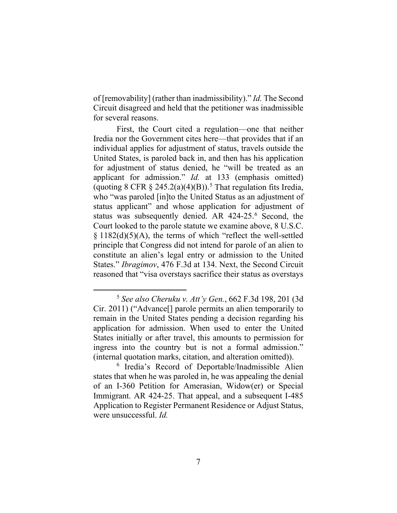of [removability] (rather than inadmissibility)." *Id.* The Second Circuit disagreed and held that the petitioner was inadmissible for several reasons.

First, the Court cited a regulation—one that neither Iredia nor the Government cites here—that provides that if an individual applies for adjustment of status, travels outside the United States, is paroled back in, and then has his application for adjustment of status denied, he "will be treated as an applicant for admission." *Id.* at 133 (emphasis omitted) (quoting 8 CFR  $\S$  245.2(a)(4)(B)).<sup>5</sup> That regulation fits Iredia, who "was paroled [in]to the United Status as an adjustment of status applicant" and whose application for adjustment of status was subsequently denied. AR 424-25. <sup>6</sup> Second, the Court looked to the parole statute we examine above, 8 U.S.C. § 1182(d)(5)(A), the terms of which "reflect the well-settled principle that Congress did not intend for parole of an alien to constitute an alien's legal entry or admission to the United States." *Ibragimov*, 476 F.3d at 134. Next, the Second Circuit reasoned that "visa overstays sacrifice their status as overstays

<sup>5</sup> *See also Cheruku v. Att'y Gen.*, 662 F.3d 198, 201 (3d Cir. 2011) ("Advance[] parole permits an alien temporarily to remain in the United States pending a decision regarding his application for admission. When used to enter the United States initially or after travel, this amounts to permission for ingress into the country but is not a formal admission." (internal quotation marks, citation, and alteration omitted)).

<sup>6</sup> Iredia's Record of Deportable/Inadmissible Alien states that when he was paroled in, he was appealing the denial of an I-360 Petition for Amerasian, Widow(er) or Special Immigrant. AR 424-25. That appeal, and a subsequent I-485 Application to Register Permanent Residence or Adjust Status, were unsuccessful. *Id.*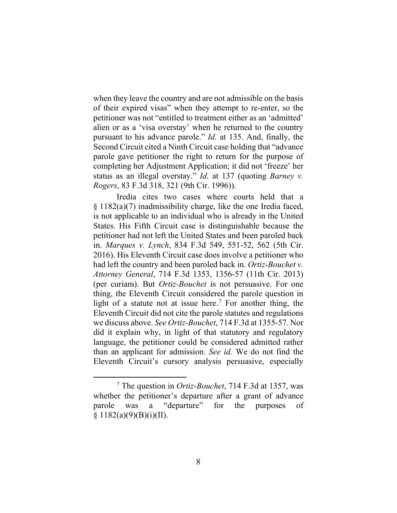when they leave the country and are not admissible on the basis of their expired visas" when they attempt to re-enter, so the petitioner was not "entitled to treatment either as an 'admitted' alien or as a 'visa overstay' when he returned to the country pursuant to his advance parole." *Id.* at 135. And, finally, the Second Circuit cited a Ninth Circuit case holding that "advance parole gave petitioner the right to return for the purpose of completing her Adjustment Application; it did not 'freeze' her status as an illegal overstay." *Id.* at 137 (quoting *Barney v. Rogers*, 83 F.3d 318, 321 (9th Cir. 1996)).

Iredia cites two cases where courts held that a § 1182(a)(7) inadmissibility charge, like the one Iredia faced, is not applicable to an individual who is already in the United States. His Fifth Circuit case is distinguishable because the petitioner had not left the United States and been paroled back in. *Marques v. Lynch*, 834 F.3d 549, 551-52, 562 (5th Cir. 2016). His Eleventh Circuit case does involve a petitioner who had left the country and been paroled back in. *Ortiz-Bouchet v. Attorney General*, 714 F.3d 1353, 1356-57 (11th Cir. 2013) (per curiam). But *Ortiz-Bouchet* is not persuasive. For one thing, the Eleventh Circuit considered the parole question in light of a statute not at issue here.<sup>7</sup> For another thing, the Eleventh Circuit did not cite the parole statutes and regulations we discuss above. *See Ortiz-Bouchet*, 714 F.3d at 1355-57. Nor did it explain why, in light of that statutory and regulatory language, the petitioner could be considered admitted rather than an applicant for admission. *See id.* We do not find the Eleventh Circuit's cursory analysis persuasive, especially

<sup>7</sup> The question in *Ortiz-Bouchet*, 714 F.3d at 1357, was whether the petitioner's departure after a grant of advance parole was a "departure" for the purposes of  $§ 1182(a)(9)(B)(i)(II).$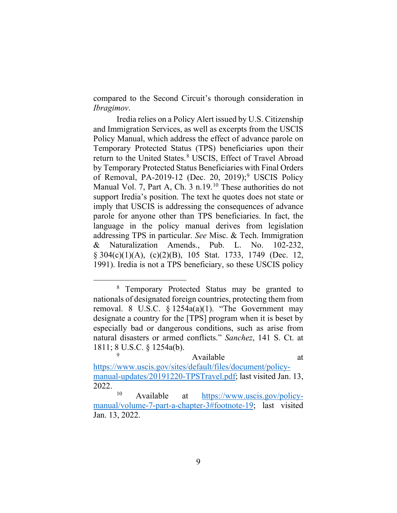compared to the Second Circuit's thorough consideration in *Ibragimov*.

Iredia relies on a Policy Alert issued by U.S. Citizenship and Immigration Services, as well as excerpts from the USCIS Policy Manual, which address the effect of advance parole on Temporary Protected Status (TPS) beneficiaries upon their return to the United States.<sup>8</sup> USCIS, Effect of Travel Abroad by Temporary Protected Status Beneficiaries with Final Orders of Removal, PA-2019-12 (Dec. 20, 2019);<sup>9</sup> USCIS Policy Manual Vol. 7, Part A, Ch. 3 n.19.<sup>10</sup> These authorities do not support Iredia's position. The text he quotes does not state or imply that USCIS is addressing the consequences of advance parole for anyone other than TPS beneficiaries. In fact, the language in the policy manual derives from legislation addressing TPS in particular. *See* Misc. & Tech. Immigration & Naturalization Amends., Pub. L. No. 102-232, § 304(c)(1)(A), (c)(2)(B), 105 Stat. 1733, 1749 (Dec. 12, 1991). Iredia is not a TPS beneficiary, so these USCIS policy

#### Available at

<sup>8</sup> Temporary Protected Status may be granted to nationals of designated foreign countries, protecting them from removal. 8 U.S.C.  $\frac{254a(a)(1)}{1}$ . "The Government may designate a country for the [TPS] program when it is beset by especially bad or dangerous conditions, such as arise from natural disasters or armed conflicts." *Sanchez*, 141 S. Ct. at 1811; 8 U.S.C. § 1254a(b).

https://www.uscis.gov/sites/default/files/document/policymanual-updates/20191220-TPSTravel.pdf; last visited Jan. 13, 2022.

<sup>10</sup> Available at https://www.uscis.gov/policymanual/volume-7-part-a-chapter-3#footnote-19; last visited Jan. 13, 2022.